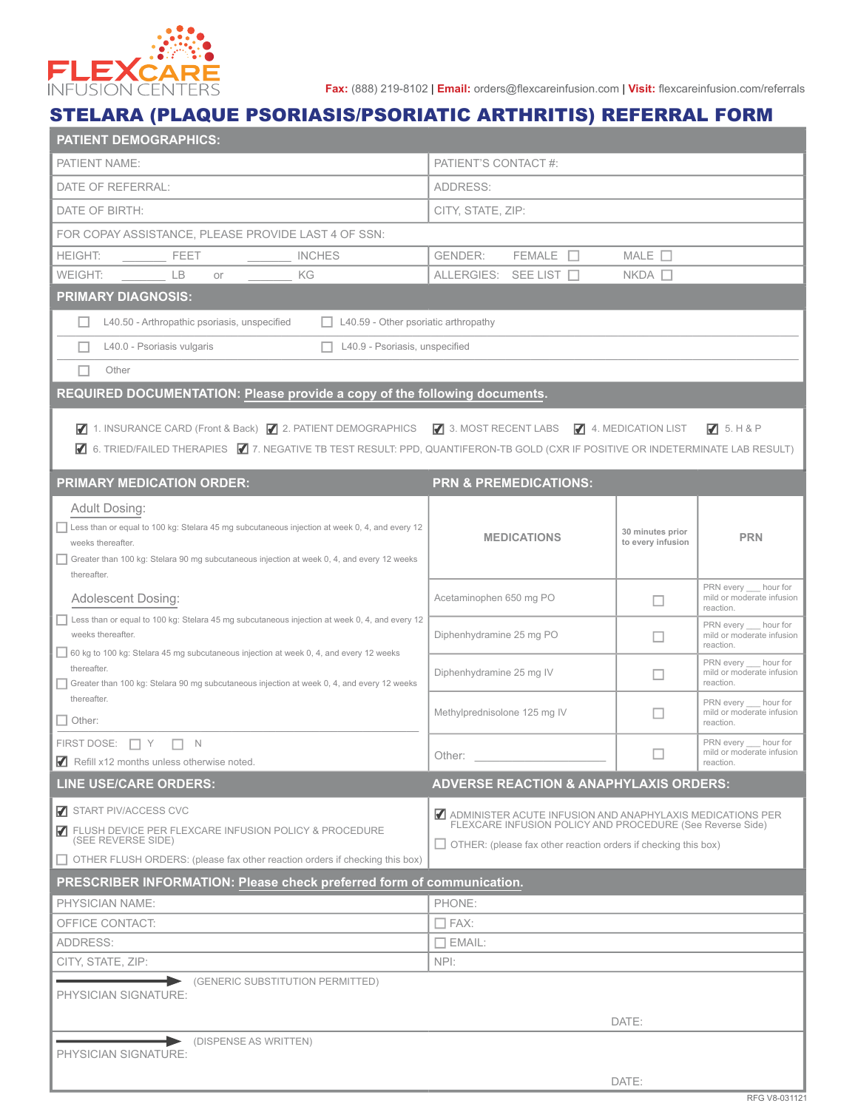

**Fax:** (888) 219-8102 | **Email:** orders@flexcareinfusion.com | **Visit:** flexcareinfusion.com/referrals

## STELARA (PLAQUE PSORIASIS/PSORIATIC ARTHRITIS) REFERRAL FORM

| <b>PATIENT DEMOGRAPHICS:</b>                                                                                                     |                                                                                                                        |                   |                                                 |  |  |
|----------------------------------------------------------------------------------------------------------------------------------|------------------------------------------------------------------------------------------------------------------------|-------------------|-------------------------------------------------|--|--|
| PATIENT NAME:                                                                                                                    | PATIENT'S CONTACT #:                                                                                                   |                   |                                                 |  |  |
| DATE OF REFERRAL:                                                                                                                | ADDRESS:                                                                                                               |                   |                                                 |  |  |
| DATE OF BIRTH:                                                                                                                   | CITY, STATE, ZIP:                                                                                                      |                   |                                                 |  |  |
| FOR COPAY ASSISTANCE, PLEASE PROVIDE LAST 4 OF SSN:                                                                              |                                                                                                                        |                   |                                                 |  |  |
| <b>HEIGHT:</b><br><b>FEET</b><br><b>INCHES</b>                                                                                   | $FEMALE$ $\Box$<br><b>GENDER:</b>                                                                                      | MALE $\square$    |                                                 |  |  |
| <b>LB</b><br>KG<br>WEIGHT:<br>or                                                                                                 | ALLERGIES: SEE LIST                                                                                                    | $NKDA$ $\Box$     |                                                 |  |  |
| <b>PRIMARY DIAGNOSIS:</b>                                                                                                        |                                                                                                                        |                   |                                                 |  |  |
| L40.50 - Arthropathic psoriasis, unspecified<br>$\Box$ L40.59 - Other psoriatic arthropathy                                      |                                                                                                                        |                   |                                                 |  |  |
| L40.9 - Psoriasis, unspecified<br>L40.0 - Psoriasis vulgaris                                                                     |                                                                                                                        |                   |                                                 |  |  |
| Other                                                                                                                            |                                                                                                                        |                   |                                                 |  |  |
| REQUIRED DOCUMENTATION: Please provide a copy of the following documents.                                                        |                                                                                                                        |                   |                                                 |  |  |
|                                                                                                                                  |                                                                                                                        |                   |                                                 |  |  |
| 1. INSURANCE CARD (Front & Back) 7 2. PATIENT DEMOGRAPHICS 7 3. MOST RECENT LABS 7 4. MEDICATION LIST                            |                                                                                                                        |                   | 75. H8P                                         |  |  |
| ■ 6. TRIED/FAILED THERAPIES ■ 7. NEGATIVE TB TEST RESULT: PPD, QUANTIFERON-TB GOLD (CXR IF POSITIVE OR INDETERMINATE LAB RESULT) |                                                                                                                        |                   |                                                 |  |  |
| <b>PRIMARY MEDICATION ORDER:</b>                                                                                                 | <b>PRN &amp; PREMEDICATIONS:</b>                                                                                       |                   |                                                 |  |  |
| Adult Dosing:                                                                                                                    |                                                                                                                        |                   |                                                 |  |  |
| Less than or equal to 100 kg: Stelara 45 mg subcutaneous injection at week 0, 4, and every 12                                    |                                                                                                                        | 30 minutes prior  |                                                 |  |  |
| weeks thereafter.                                                                                                                | <b>MEDICATIONS</b>                                                                                                     | to every infusion | <b>PRN</b>                                      |  |  |
| Greater than 100 kg: Stelara 90 mg subcutaneous injection at week 0, 4, and every 12 weeks<br>thereafter.                        |                                                                                                                        |                   |                                                 |  |  |
| Adolescent Dosing:                                                                                                               | Acetaminophen 650 mg PO                                                                                                | п                 | PRN every hour for<br>mild or moderate infusion |  |  |
| Less than or equal to 100 kg: Stelara 45 mg subcutaneous injection at week 0, 4, and every 12                                    |                                                                                                                        |                   | reaction.<br>PRN every hour for                 |  |  |
| weeks thereafter.                                                                                                                | Diphenhydramine 25 mg PO                                                                                               | П                 | mild or moderate infusion<br>reaction.          |  |  |
| $\Box$ 60 kg to 100 kg: Stelara 45 mg subcutaneous injection at week 0, 4, and every 12 weeks<br>thereafter.                     |                                                                                                                        |                   | PRN every ___ hour for                          |  |  |
| Greater than 100 kg: Stelara 90 mg subcutaneous injection at week 0, 4, and every 12 weeks                                       | Diphenhydramine 25 mg IV                                                                                               | П                 | mild or moderate infusion<br>reaction.          |  |  |
| thereafter.                                                                                                                      | Methylprednisolone 125 mg IV                                                                                           | П                 | PRN every hour for<br>mild or moderate infusion |  |  |
| $\Box$ Other:                                                                                                                    |                                                                                                                        |                   | reaction.                                       |  |  |
| FIRST DOSE: $\Box Y$<br>$\Box$ N                                                                                                 | Other:                                                                                                                 |                   | PRN every hour for<br>mild or moderate infusion |  |  |
| $\blacksquare$ Refill x12 months unless otherwise noted.                                                                         |                                                                                                                        |                   | reaction.                                       |  |  |
| <b>LINE USE/CARE ORDERS:</b>                                                                                                     | <b>ADVERSE REACTION &amp; ANAPHYLAXIS ORDERS:</b>                                                                      |                   |                                                 |  |  |
| START PIV/ACCESS CVC                                                                                                             | ADMINISTER ACUTE INFUSION AND ANAPHYLAXIS MEDICATIONS PER<br>FLEXCARE INFUSION POLICY AND PROCEDURE (See Reverse Side) |                   |                                                 |  |  |
| T FLUSH DEVICE PER FLEXCARE INFUSION POLICY & PROCEDURE<br>(SEE REVERSE SIDE)                                                    | $\Box$ OTHER: (please fax other reaction orders if checking this box)                                                  |                   |                                                 |  |  |
| OTHER FLUSH ORDERS: (please fax other reaction orders if checking this box)                                                      |                                                                                                                        |                   |                                                 |  |  |
| PRESCRIBER INFORMATION: Please check preferred form of communication.                                                            |                                                                                                                        |                   |                                                 |  |  |
| PHYSICIAN NAME:                                                                                                                  | PHONE:                                                                                                                 |                   |                                                 |  |  |
| OFFICE CONTACT:                                                                                                                  | $\square$ FAX:                                                                                                         |                   |                                                 |  |  |
| ADDRESS:                                                                                                                         | $\Box$ EMAIL:                                                                                                          |                   |                                                 |  |  |
| CITY, STATE, ZIP:                                                                                                                | NPI:                                                                                                                   |                   |                                                 |  |  |
| (GENERIC SUBSTITUTION PERMITTED)<br>►                                                                                            |                                                                                                                        |                   |                                                 |  |  |
| PHYSICIAN SIGNATURE:                                                                                                             |                                                                                                                        |                   |                                                 |  |  |
|                                                                                                                                  |                                                                                                                        |                   |                                                 |  |  |
| DISPENSE AS WRITTEN)                                                                                                             |                                                                                                                        | DATE:             |                                                 |  |  |
| PHYSICIAN SIGNATURE:                                                                                                             |                                                                                                                        |                   |                                                 |  |  |